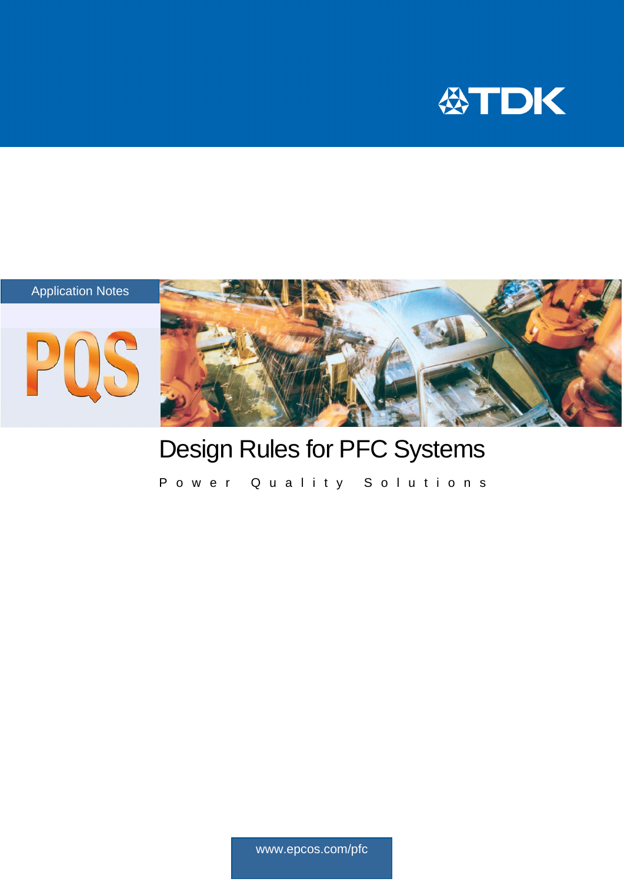



# Design Rules for PFC Systems

Power Quality Solutions

www.epcos.com/pfc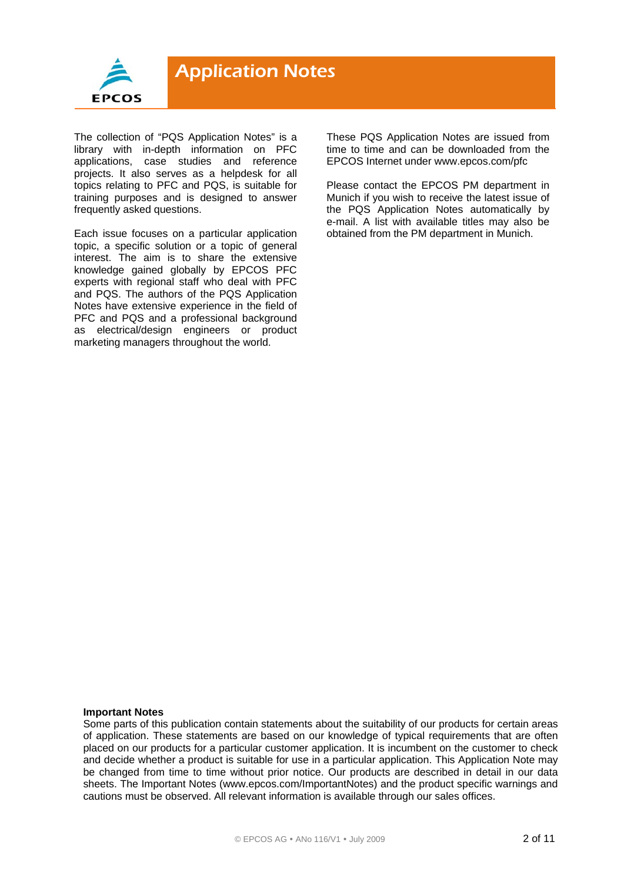

The collection of "PQS Application Notes" is a library with in-depth information on PFC applications, case studies and reference projects. It also serves as a helpdesk for all topics relating to PFC and PQS, is suitable for training purposes and is designed to answer frequently asked questions.

Each issue focuses on a particular application topic, a specific solution or a topic of general interest. The aim is to share the extensive knowledge gained globally by EPCOS PFC experts with regional staff who deal with PFC and PQS. The authors of the PQS Application Notes have extensive experience in the field of PFC and PQS and a professional background as electrical/design engineers or product marketing managers throughout the world.

These PQS Application Notes are issued from time to time and can be downloaded from the EPCOS Internet under www.epcos.com/pfc

Please contact the EPCOS PM department in Munich if you wish to receive the latest issue of the PQS Application Notes automatically by e-mail. A list with available titles may also be obtained from the PM department in Munich.

#### **Important Notes**

Some parts of this publication contain statements about the suitability of our products for certain areas of application. These statements are based on our knowledge of typical requirements that are often placed on our products for a particular customer application. It is incumbent on the customer to check and decide whether a product is suitable for use in a particular application. This Application Note may be changed from time to time without prior notice. Our products are described in detail in our data sheets. The Important Notes (www.epcos.com/ImportantNotes) and the product specific warnings and cautions must be observed. All relevant information is available through our sales offices.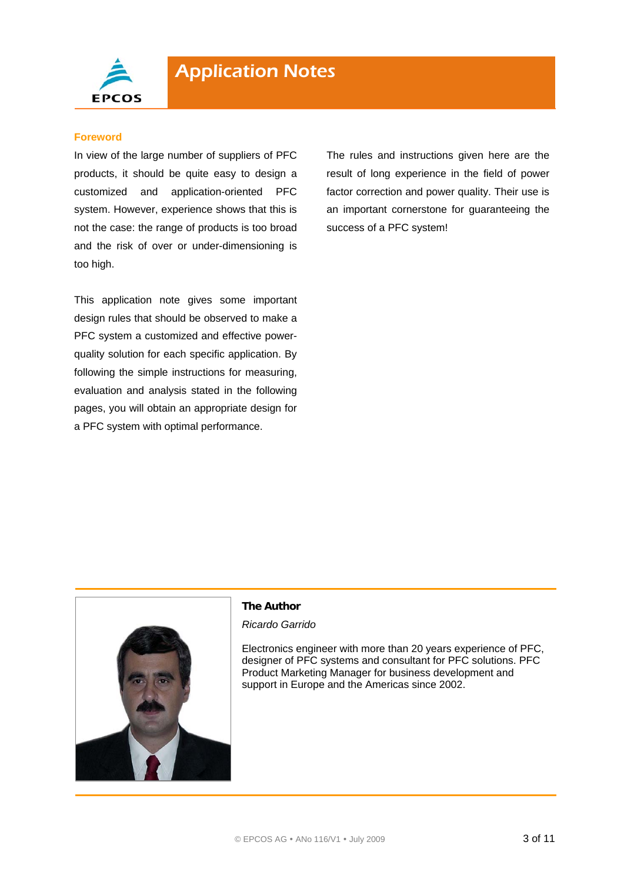

#### **Foreword**

In view of the large number of suppliers of PFC products, it should be quite easy to design a customized and application-oriented PFC system. However, experience shows that this is not the case: the range of products is too broad and the risk of over or under-dimensioning is too high.

This application note gives some important design rules that should be observed to make a PFC system a customized and effective powerquality solution for each specific application. By following the simple instructions for measuring, evaluation and analysis stated in the following pages, you will obtain an appropriate design for a PFC system with optimal performance.

The rules and instructions given here are the result of long experience in the field of power factor correction and power quality. Their use is an important cornerstone for guaranteeing the success of a PFC system!



#### **The Author**

*Ricardo Garrido* 

Electronics engineer with more than 20 years experience of PFC, designer of PFC systems and consultant for PFC solutions. PFC Product Marketing Manager for business development and support in Europe and the Americas since 2002.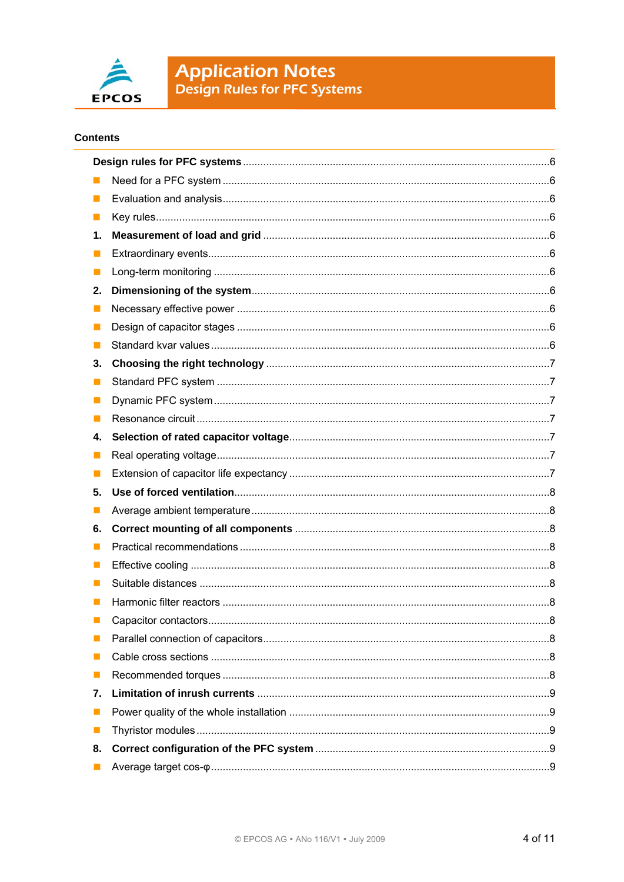

#### **Contents**

| 1.    |  |  |  |
|-------|--|--|--|
| H     |  |  |  |
| a a s |  |  |  |
| 2.    |  |  |  |
| П     |  |  |  |
| Ш     |  |  |  |
| H     |  |  |  |
| 3.    |  |  |  |
| . .   |  |  |  |
| L     |  |  |  |
|       |  |  |  |
| 4.    |  |  |  |
| ш     |  |  |  |
| H     |  |  |  |
| 5.    |  |  |  |
| ш     |  |  |  |
| 6.    |  |  |  |
|       |  |  |  |
| ш     |  |  |  |
| ш     |  |  |  |
|       |  |  |  |
|       |  |  |  |
|       |  |  |  |
|       |  |  |  |
| ш     |  |  |  |
| 7.    |  |  |  |
| ш     |  |  |  |
| ш     |  |  |  |
| 8.    |  |  |  |
|       |  |  |  |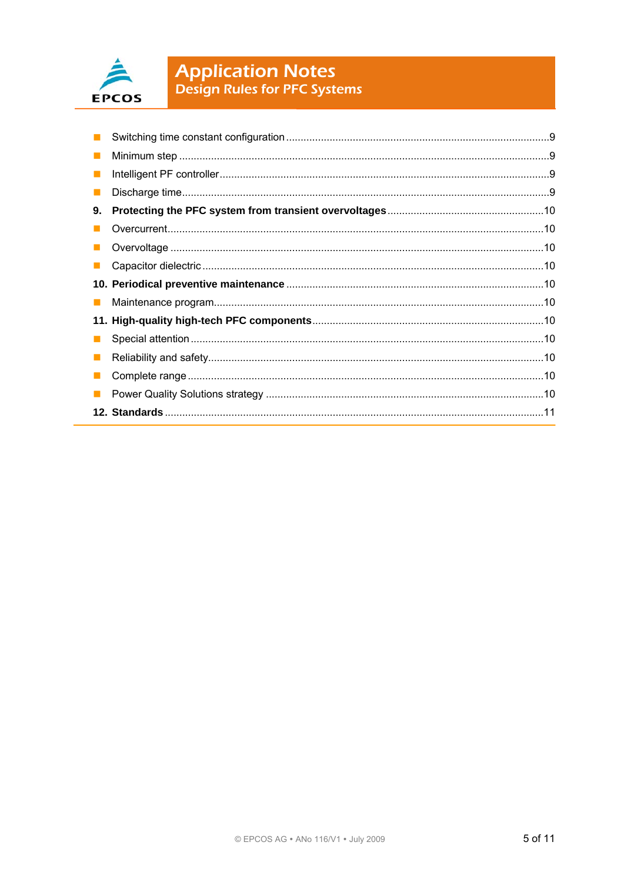

| 9. |  |
|----|--|
|    |  |
|    |  |
|    |  |
|    |  |
|    |  |
|    |  |
|    |  |
|    |  |
|    |  |
|    |  |
|    |  |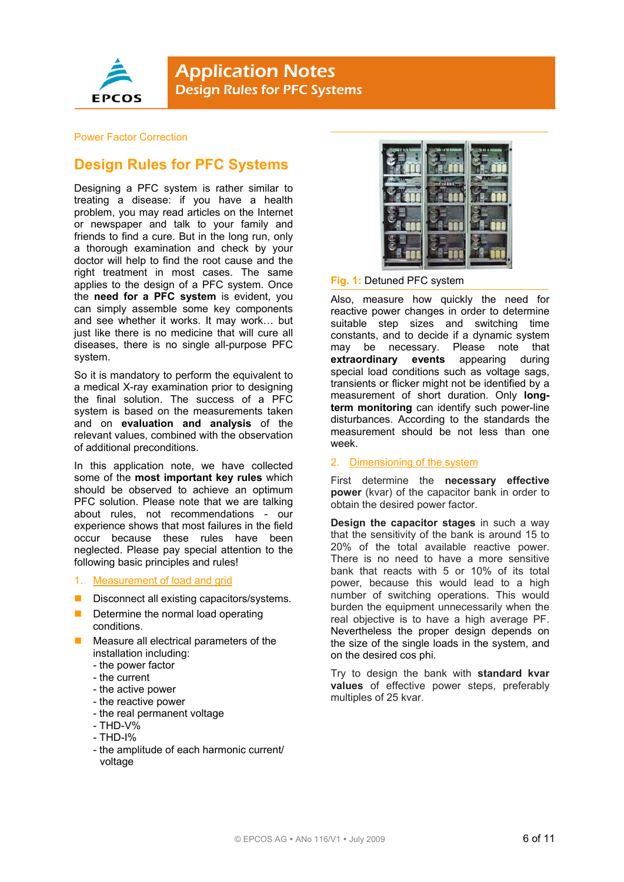

#### Power Factor Correction

### **Design Rules for PFC Systems**

Designing a PFC system is rather similar to treating a disease: if you have a health problem, you may read articles on the Internet or newspaper and talk to your family and friends to find a cure. But in the long run, only a thorough examination and check by your doctor will help to find the root cause and the right treatment in most cases. The same applies to the design of a PFC system. Once the **need for a PFC system** is evident, you can simply assemble some key components and see whether it works. It may work… but just like there is no medicine that will cure all diseases, there is no single all-purpose PFC system.

So it is mandatory to perform the equivalent to a medical X-ray examination prior to designing the final solution. The success of a PFC system is based on the measurements taken and on **evaluation and analysis** of the relevant values, combined with the observation of additional preconditions.

In this application note, we have collected some of the **most important key rules** which should be observed to achieve an optimum PFC solution. Please note that we are talking about rules, not recommendations - our experience shows that most failures in the field occur because these rules have been neglected. Please pay special attention to the following basic principles and rules!

#### 1. Measurement of load and grid

- Disconnect all existing capacitors/systems.
- Determine the normal load operating conditions.
- Measure all electrical parameters of the installation including:
	- the power factor
	- the current
	- the active power
	- the reactive power
	- the real permanent voltage
	- THD-V%
	- THD-I%
	- the amplitude of each harmonic current/ voltage



**Fig. 1:** Detuned PFC system

Also, measure how quickly the need for reactive power changes in order to determine suitable step sizes and switching time constants, and to decide if a dynamic system may be necessary. Please note that **extraordinary events** appearing during special load conditions such as voltage sags, transients or flicker might not be identified by a measurement of short duration. Only **longterm monitoring** can identify such power-line disturbances. According to the standards the measurement should be not less than one week.

#### 2. Dimensioning of the system

First determine the **necessary effective power** (kvar) of the capacitor bank in order to obtain the desired power factor.

**Design the capacitor stages** in such a way that the sensitivity of the bank is around 15 to 20% of the total available reactive power. There is no need to have a more sensitive bank that reacts with 5 or 10% of its total power, because this would lead to a high number of switching operations. This would burden the equipment unnecessarily when the real objective is to have a high average PF. Nevertheless the proper design depends on the size of the single loads in the system, and on the desired cos phi.

Try to design the bank with **standard kvar values** of effective power steps, preferably multiples of 25 kvar.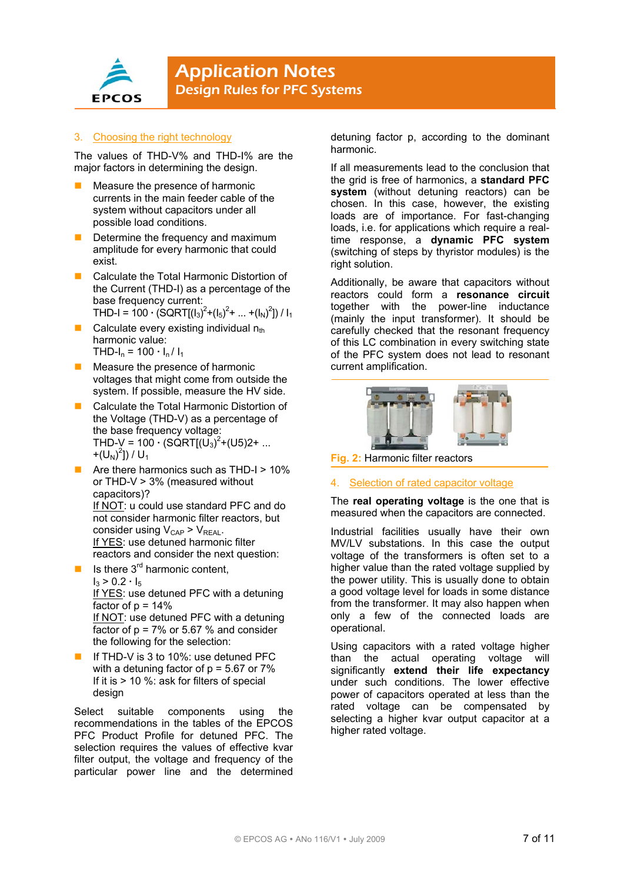

#### 3. Choosing the right technology

The values of THD-V% and THD-I% are the major factors in determining the design.

- Measure the presence of harmonic currents in the main feeder cable of the system without capacitors under all possible load conditions.
- Determine the frequency and maximum amplitude for every harmonic that could exist.
- Calculate the Total Harmonic Distortion of the Current (THD-I) as a percentage of the base frequency current: THD-I = 100  $\cdot$  (SQRT[(I<sub>3</sub>)<sup>2</sup>+(I<sub>5</sub>)<sup>2</sup>+ ... +(I<sub>N</sub>)<sup>2</sup>]) / I<sub>1</sub>
- Calculate every existing individual  $n_{th}$ harmonic value: THD- $I_n = 100 \cdot I_n / I_1$
- **Measure the presence of harmonic** voltages that might come from outside the system. If possible, measure the HV side.
- Calculate the Total Harmonic Distortion of the Voltage (THD-V) as a percentage of the base frequency voltage: THD-V = 100  $\cdot$  (SQRT[ $(U_3)^2 + (U_5)2 + ...$ +(U<sub>N</sub>)<sup>2</sup>]) / U<sub>1</sub>
- Are there harmonics such as THD-I > 10% or THD-V > 3% (measured without capacitors)? If NOT: u could use standard PFC and do

not consider harmonic filter reactors, but consider using  $V_{CAP} > V_{REAL}$ . If YES: use detuned harmonic filter reactors and consider the next question:

- $\blacksquare$  Is there 3<sup>rd</sup> harmonic content,  $I_3 > 0.2 \cdot I_5$ If YES: use detuned PFC with a detuning factor of  $p = 14%$ If NOT: use detuned PFC with a detuning factor of  $p = 7\%$  or 5.67 % and consider
- the following for the selection: If THD-V is 3 to 10%: use detuned PFC with a detuning factor of  $p = 5.67$  or  $7\%$ If it is > 10 %: ask for filters of special design

Select suitable components using the recommendations in the tables of the EPCOS PFC Product Profile for detuned PFC. The selection requires the values of effective kvar filter output, the voltage and frequency of the particular power line and the determined

detuning factor p, according to the dominant harmonic.

If all measurements lead to the conclusion that the grid is free of harmonics, a **standard PFC system** (without detuning reactors) can be chosen. In this case, however, the existing loads are of importance. For fast-changing loads, i.e. for applications which require a realtime response, a **dynamic PFC system** (switching of steps by thyristor modules) is the right solution.

Additionally, be aware that capacitors without reactors could form a **resonance circuit** together with the power-line inductance (mainly the input transformer). It should be carefully checked that the resonant frequency of this LC combination in every switching state of the PFC system does not lead to resonant current amplification.



**Fig. 2:** Harmonic filter reactors

#### 4. Selection of rated capacitor voltage

The **real operating voltage** is the one that is measured when the capacitors are connected.

Industrial facilities usually have their own MV/LV substations. In this case the output voltage of the transformers is often set to a higher value than the rated voltage supplied by the power utility. This is usually done to obtain a good voltage level for loads in some distance from the transformer. It may also happen when only a few of the connected loads are operational.

Using capacitors with a rated voltage higher than the actual operating voltage will significantly **extend their life expectancy** under such conditions. The lower effective power of capacitors operated at less than the rated voltage can be compensated by selecting a higher kvar output capacitor at a higher rated voltage.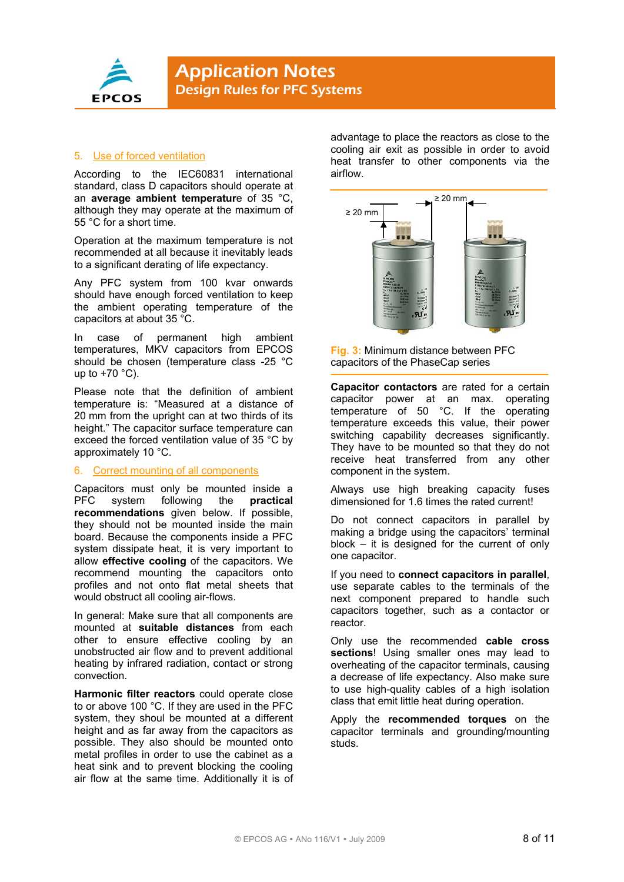

#### 5. Use of forced ventilation

According to the IEC60831 international standard, class D capacitors should operate at an **average ambient temperatur**e of 35 °C, although they may operate at the maximum of 55 °C for a short time.

Operation at the maximum temperature is not recommended at all because it inevitably leads to a significant derating of life expectancy.

Any PFC system from 100 kvar onwards should have enough forced ventilation to keep the ambient operating temperature of the capacitors at about 35 °C.

In case of permanent high ambient temperatures, MKV capacitors from EPCOS should be chosen (temperature class -25 °C up to  $+70$  °C).

Please note that the definition of ambient temperature is: "Measured at a distance of 20 mm from the upright can at two thirds of its height." The capacitor surface temperature can exceed the forced ventilation value of 35 °C by approximately 10 °C.

#### 6. Correct mounting of all components

Capacitors must only be mounted inside a PFC system following the **practical recommendations** given below. If possible, they should not be mounted inside the main board. Because the components inside a PFC system dissipate heat, it is very important to allow **effective cooling** of the capacitors. We recommend mounting the capacitors onto profiles and not onto flat metal sheets that would obstruct all cooling air-flows.

In general: Make sure that all components are mounted at **suitable distances** from each other to ensure effective cooling by an unobstructed air flow and to prevent additional heating by infrared radiation, contact or strong convection.

**Harmonic filter reactors** could operate close to or above 100 °C. If they are used in the PFC system, they shoul be mounted at a different height and as far away from the capacitors as possible. They also should be mounted onto metal profiles in order to use the cabinet as a heat sink and to prevent blocking the cooling air flow at the same time. Additionally it is of advantage to place the reactors as close to the cooling air exit as possible in order to avoid heat transfer to other components via the airflow.



**Fig. 3:** Minimum distance between PFC capacitors of the PhaseCap series

**Capacitor contactors** are rated for a certain capacitor power at an max. operating temperature of 50 °C. If the operating temperature exceeds this value, their power switching capability decreases significantly. They have to be mounted so that they do not receive heat transferred from any other component in the system.

Always use high breaking capacity fuses dimensioned for 1.6 times the rated current!

Do not connect capacitors in parallel by making a bridge using the capacitors' terminal block – it is designed for the current of only one capacitor.

If you need to **connect capacitors in parallel**, use separate cables to the terminals of the next component prepared to handle such capacitors together, such as a contactor or reactor.

Only use the recommended **cable cross sections**! Using smaller ones may lead to overheating of the capacitor terminals, causing a decrease of life expectancy. Also make sure to use high-quality cables of a high isolation class that emit little heat during operation.

Apply the **recommended torques** on the capacitor terminals and grounding/mounting studs.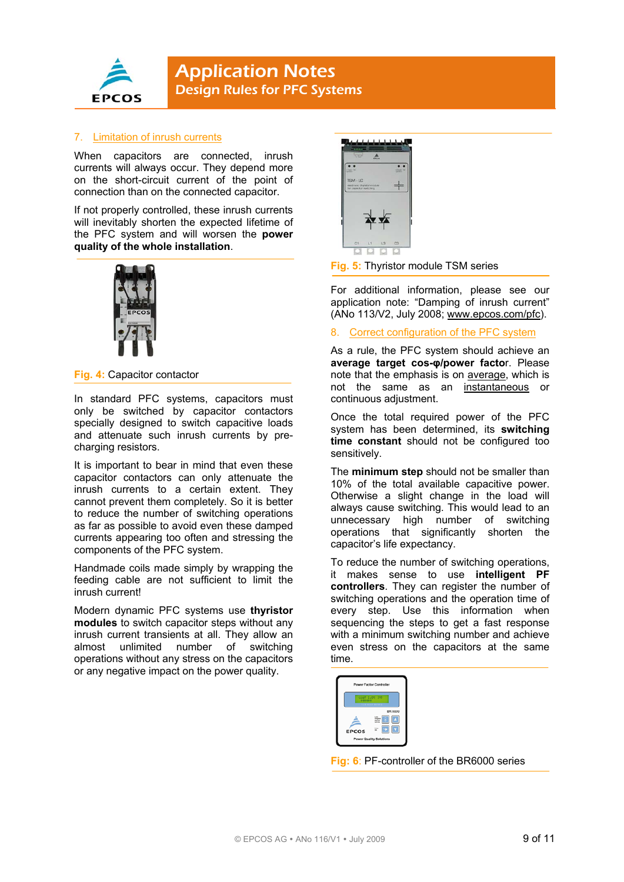

#### 7. Limitation of inrush currents

When capacitors are connected, inrush currents will always occur. They depend more on the short-circuit current of the point of connection than on the connected capacitor.

If not properly controlled, these inrush currents will inevitably shorten the expected lifetime of the PFC system and will worsen the **power quality of the whole installation**.



#### **Fig. 4:** Capacitor contactor

In standard PFC systems, capacitors must only be switched by capacitor contactors specially designed to switch capacitive loads and attenuate such inrush currents by precharging resistors.

It is important to bear in mind that even these capacitor contactors can only attenuate the inrush currents to a certain extent. They cannot prevent them completely. So it is better to reduce the number of switching operations as far as possible to avoid even these damped currents appearing too often and stressing the components of the PFC system.

Handmade coils made simply by wrapping the feeding cable are not sufficient to limit the inrush current!

Modern dynamic PFC systems use **thyristor modules** to switch capacitor steps without any inrush current transients at all. They allow an almost unlimited number of switching operations without any stress on the capacitors or any negative impact on the power quality.



**Fig. 5:** Thyristor module TSM series

For additional information, please see our application note: "Damping of inrush current" (ANo 113/V2, July 2008; www.epcos.com/pfc).

#### 8. Correct configuration of the PFC system

As a rule, the PFC system should achieve an **average target cos-φ/power facto**r. Please note that the emphasis is on average, which is not the same as an instantaneous or continuous adjustment.

Once the total required power of the PFC system has been determined, its **switching time constant** should not be configured too sensitively.

The **minimum step** should not be smaller than 10% of the total available capacitive power. Otherwise a slight change in the load will always cause switching. This would lead to an unnecessary high number of switching operations that significantly shorten the capacitor's life expectancy.

To reduce the number of switching operations, it makes sense to use **intelligent PF controllers**. They can register the number of switching operations and the operation time of every step. Use this information when sequencing the steps to get a fast response with a minimum switching number and achieve even stress on the capacitors at the same time.



**Fig: 6**: PF-controller of the BR6000 series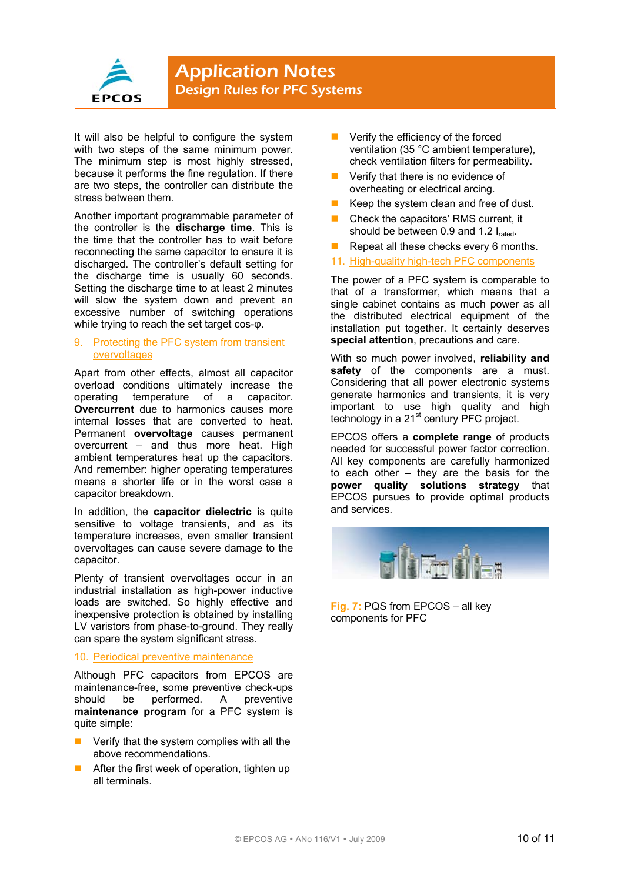

It will also be helpful to configure the system with two steps of the same minimum power. The minimum step is most highly stressed, because it performs the fine regulation. If there are two steps, the controller can distribute the stress between them.

Another important programmable parameter of the controller is the **discharge time**. This is the time that the controller has to wait before reconnecting the same capacitor to ensure it is discharged. The controller's default setting for the discharge time is usually 60 seconds. Setting the discharge time to at least 2 minutes will slow the system down and prevent an excessive number of switching operations while trying to reach the set target cos-φ.

#### 9. Protecting the PFC system from transient overvoltages

Apart from other effects, almost all capacitor overload conditions ultimately increase the operating temperature of a capacitor. **Overcurrent** due to harmonics causes more internal losses that are converted to heat. Permanent **overvoltage** causes permanent overcurrent – and thus more heat. High ambient temperatures heat up the capacitors. And remember: higher operating temperatures means a shorter life or in the worst case a capacitor breakdown.

In addition, the **capacitor dielectric** is quite sensitive to voltage transients, and as its temperature increases, even smaller transient overvoltages can cause severe damage to the capacitor.

Plenty of transient overvoltages occur in an industrial installation as high-power inductive loads are switched. So highly effective and inexpensive protection is obtained by installing LV varistors from phase-to-ground. They really can spare the system significant stress.

#### 10. Periodical preventive maintenance

Although PFC capacitors from EPCOS are maintenance-free, some preventive check-ups<br>should be performed. A preventive should be performed. A **maintenance program** for a PFC system is quite simple:

- Verify that the system complies with all the above recommendations.
- After the first week of operation, tighten up all terminals.
- Verify the efficiency of the forced ventilation (35 °C ambient temperature), check ventilation filters for permeability.
- Verify that there is no evidence of overheating or electrical arcing.
- Keep the system clean and free of dust.
- Check the capacitors' RMS current, it should be between 0.9 and 1.2  $I_{\text{rated}}$ .
- Repeat all these checks every 6 months.
- 11. High-quality high-tech PFC components

The power of a PFC system is comparable to that of a transformer, which means that a single cabinet contains as much power as all the distributed electrical equipment of the installation put together. It certainly deserves **special attention**, precautions and care.

With so much power involved, **reliability and safety** of the components are a must. Considering that all power electronic systems generate harmonics and transients, it is very important to use high quality and high technology in a  $21<sup>st</sup>$  century PFC project.

EPCOS offers a **complete range** of products needed for successful power factor correction. All key components are carefully harmonized to each other – they are the basis for the **power quality solutions strategy** that EPCOS pursues to provide optimal products and services.



**Fig. 7:** PQS from EPCOS – all key components for PFC